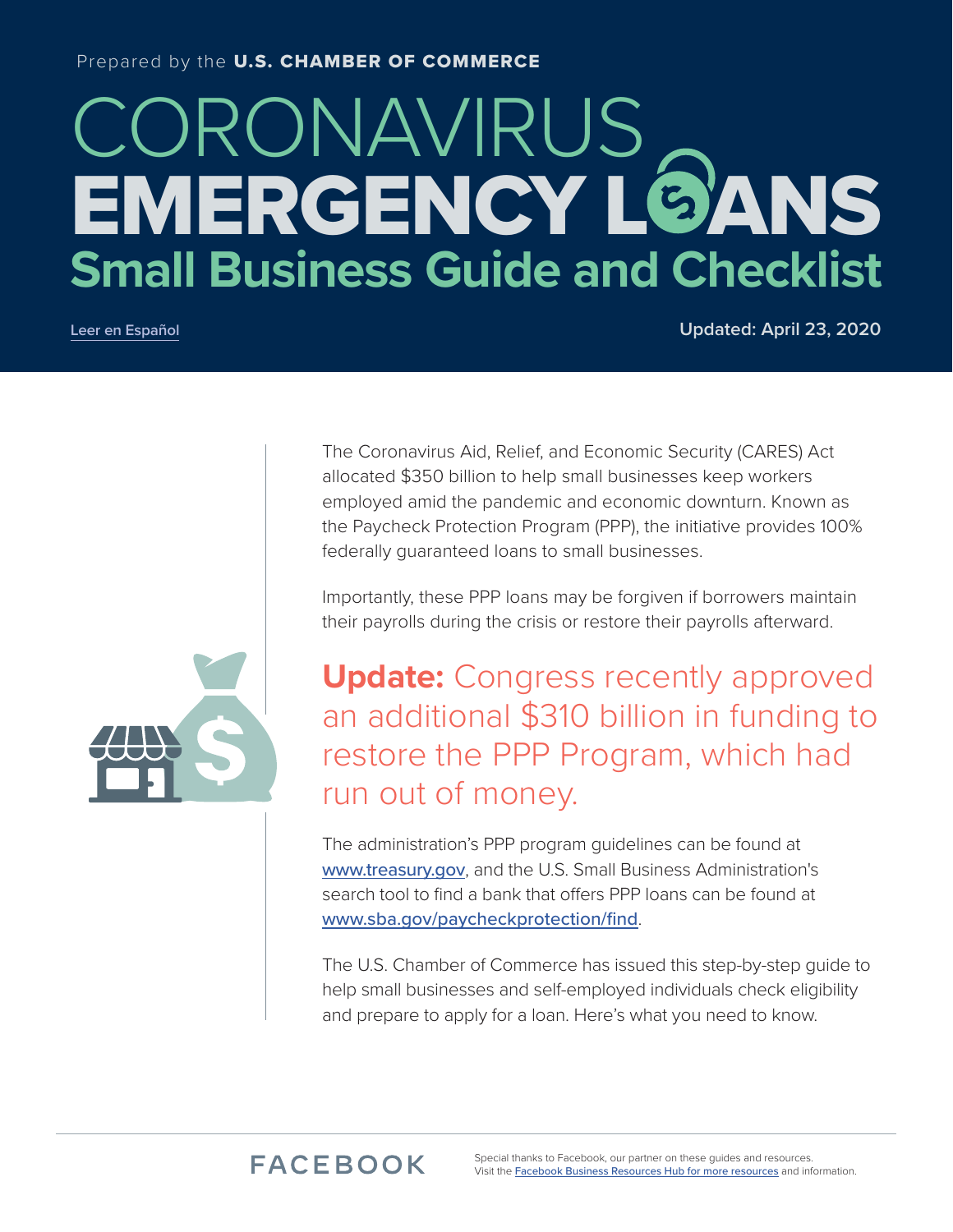#### Prepared by the U.S. CHAMBER OF COMMERCE

# CORONAVIRUS EMERGENCY LOANS **Small Business Guide and Checklist**

**Leer en Español Updated: April 23, 2020**



The Coronavirus Aid, Relief, and Economic Security (CARES) Act allocated \$350 billion to help small businesses keep workers employed amid the pandemic and economic downturn. Known as the Paycheck Protection Program (PPP), the initiative provides 100% federally guaranteed loans to small businesses.

Importantly, these PPP loans may be forgiven if borrowers maintain their payrolls during the crisis or restore their payrolls afterward.

## **Update:** Congress recently approved an additional \$310 billion in funding to restore the PPP Program, which had run out of money.

The administration's PPP program guidelines can be found at [www.treasury.gov](https://home.treasury.gov/policy-issues/cares/assistance-for-small-businesses), and the U.S. Small Business Administration's search tool to find a bank that offers PPP loans can be found at [www.sba.gov/paycheckprotection/find](http://www.sba.gov/paycheckprotection/find).

The U.S. Chamber of Commerce has issued this step-by-step guide to help small businesses and self-employed individuals check eligibility and prepare to apply for a loan. Here's what you need to know.

## **FACEBOOK**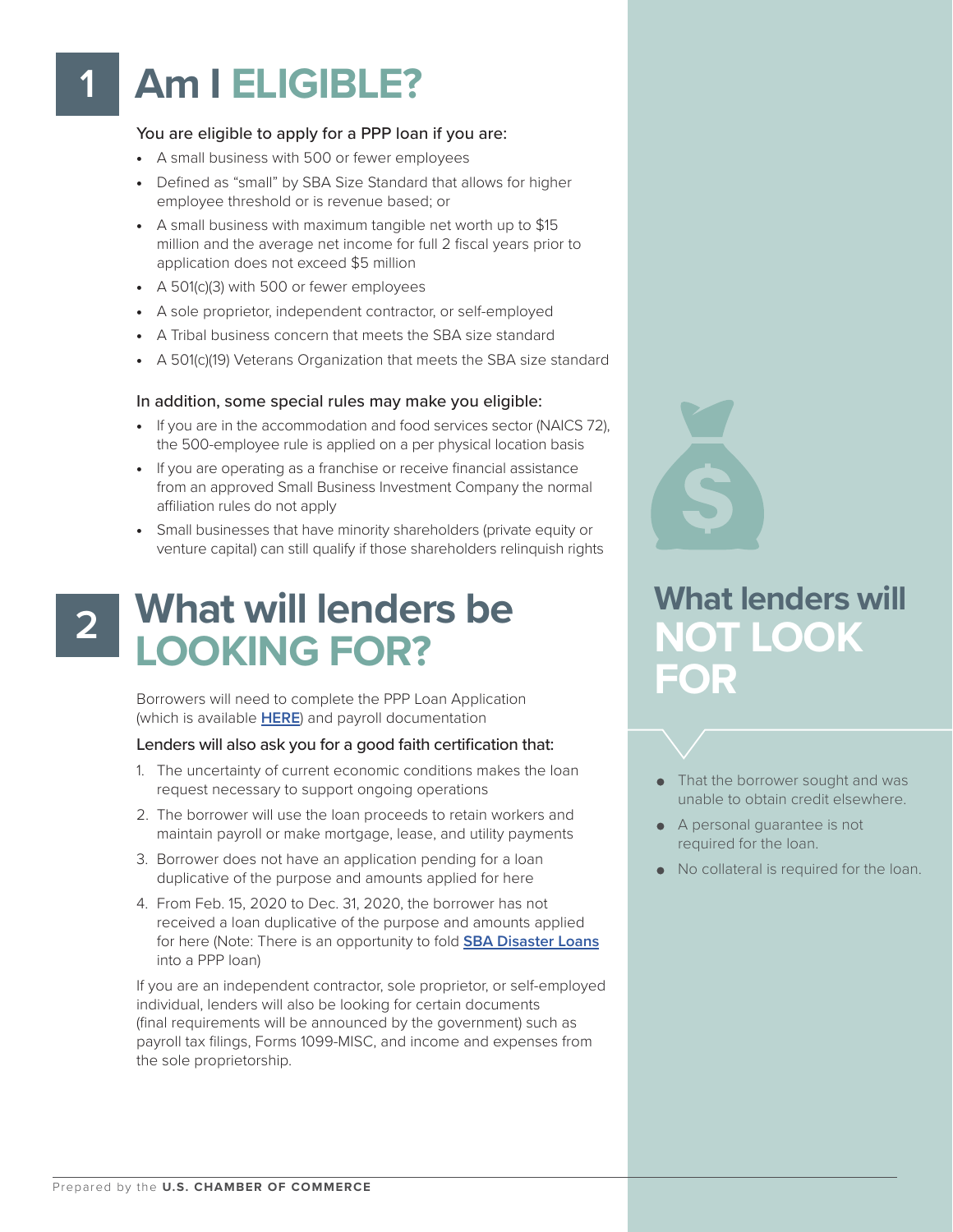## **Am I ELIGIBLE?**

#### You are eligible to apply for a PPP loan if you are:

- A small business with 500 or fewer employees
- Defined as "small" by SBA Size Standard that allows for higher employee threshold or is revenue based; or
- A small business with maximum tangible net worth up to \$15 million and the average net income for full 2 fiscal years prior to application does not exceed \$5 million
- A 501(c)(3) with 500 or fewer employees
- A sole proprietor, independent contractor, or self-employed
- A Tribal business concern that meets the SBA size standard
- A 501(c)(19) Veterans Organization that meets the SBA size standard

#### In addition, some special rules may make you eligible:

- If you are in the accommodation and food services sector (NAICS 72), the 500-employee rule is applied on a per physical location basis
- If you are operating as a franchise or receive financial assistance from an approved Small Business Investment Company the normal affiliation rules do not apply
- Small businesses that have minority shareholders (private equity or venture capital) can still qualify if those shareholders relinquish rights

**1**

## **What will lenders be LOOKING FOR?**

Borrowers will need to complete the PPP Loan Application (which is available **[HERE](https://home.treasury.gov/system/files/136/Paycheck-Protection-Program-Application-3-30-2020-v3.pdf)**) and payroll documentation

#### Lenders will also ask you for a good faith certification that:

- 1. The uncertainty of current economic conditions makes the loan request necessary to support ongoing operations
- 2. The borrower will use the loan proceeds to retain workers and maintain payroll or make mortgage, lease, and utility payments
- 3. Borrower does not have an application pending for a loan duplicative of the purpose and amounts applied for here
- 4. From Feb. 15, 2020 to Dec. 31, 2020, the borrower has not received a loan duplicative of the purpose and amounts applied for here (Note: There is an opportunity to fold **[SBA Disaster Loans](http://uschamber.com/eidl)** into a PPP loan)

If you are an independent contractor, sole proprietor, or self-employed individual, lenders will also be looking for certain documents (final requirements will be announced by the government) such as payroll tax filings, Forms 1099-MISC, and income and expenses from the sole proprietorship.

## **What lenders will NOT LOOK FOR**

- That the borrower sought and was unable to obtain credit elsewhere.
- A personal guarantee is not required for the loan.
- No collateral is required for the loan.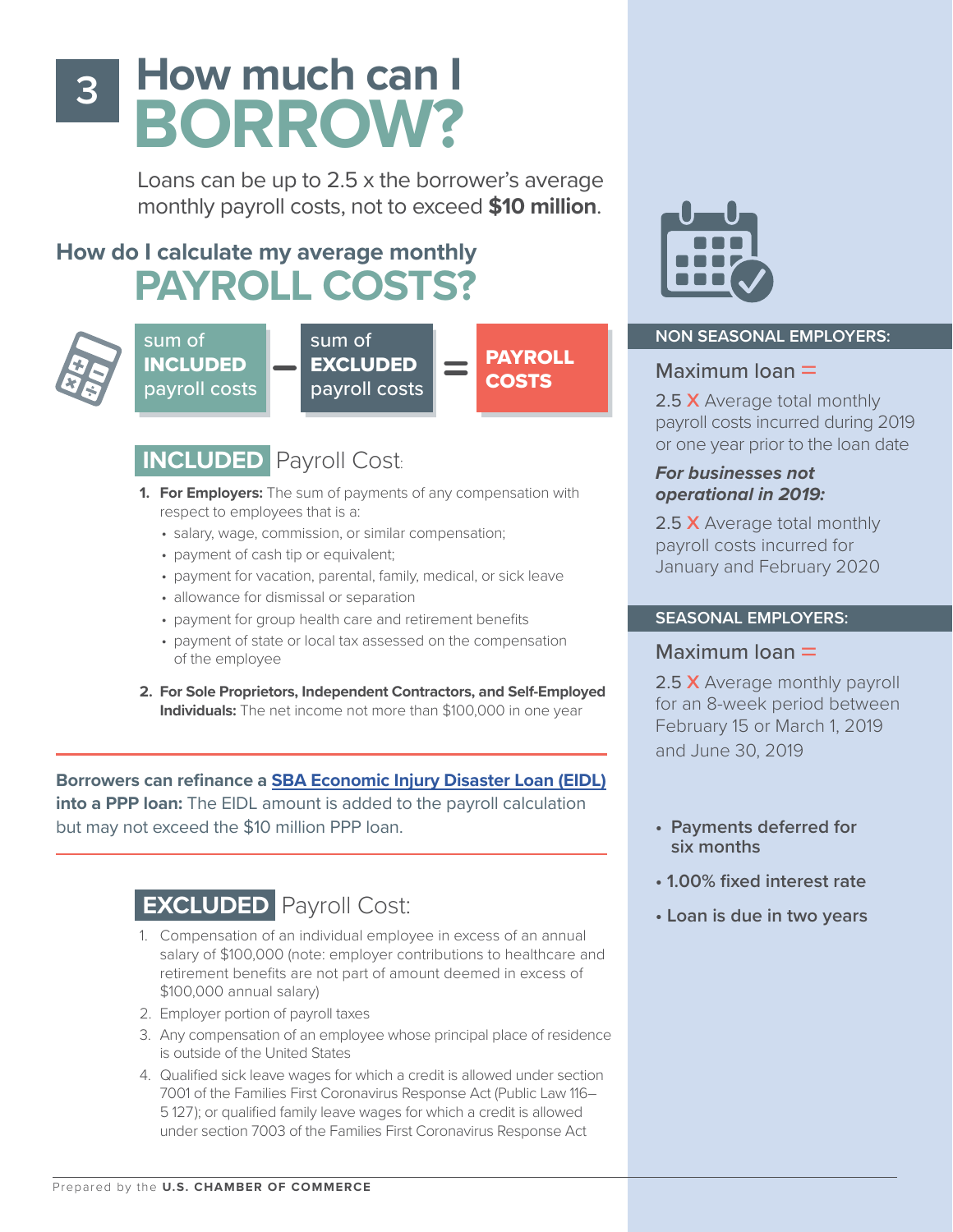## **How much can I BORROW? 3**

Loans can be up to 2.5 x the borrower's average monthly payroll costs, not to exceed **\$10 million**.

## **How do I calculate my average monthly PAYROLL COSTS?**





## **INCLUDED** Payroll Cost:

- **1. For Employers:** The sum of payments of any compensation with respect to employees that is a:
	- salary, wage, commission, or similar compensation;
	- payment of cash tip or equivalent;
	- payment for vacation, parental, family, medical, or sick leave
	- allowance for dismissal or separation
	- payment for group health care and retirement benefits
	- payment of state or local tax assessed on the compensation of the employee
- **2. For Sole Proprietors, Independent Contractors, and Self-Employed Individuals:** The net income not more than \$100,000 in one year

**Borrowers can refinance a [SBA Economic Injury Disaster Loan \(EIDL\)](https://www.uschamber.com/report/guide-sbas-economic-injury-disaster-loans) into a PPP loan:** The EIDL amount is added to the payroll calculation but may not exceed the \$10 million PPP loan.

## **EXCLUDED** Payroll Cost:

- 1. Compensation of an individual employee in excess of an annual salary of \$100,000 (note: employer contributions to healthcare and retirement benefits are not part of amount deemed in excess of \$100,000 annual salary)
- 2. Employer portion of payroll taxes
- 3. Any compensation of an employee whose principal place of residence is outside of the United States
- 4. Qualified sick leave wages for which a credit is allowed under section 7001 of the Families First Coronavirus Response Act (Public Law 116– 5 127); or qualified family leave wages for which a credit is allowed under section 7003 of the Families First Coronavirus Response Act



#### **NON SEASONAL EMPLOYERS:**

## $Maximum loan =$

2.5 X Average total monthly payroll costs incurred during 2019 or one year prior to the loan date

#### *For businesses not operational in 2019:*

2.5 X Average total monthly payroll costs incurred for January and February 2020

#### **SEASONAL EMPLOYERS:**

### $Maximum loan =$

2.5 X Average monthly payroll for an 8-week period between February 15 or March 1, 2019 and June 30, 2019

- **• Payments deferred for six months**
- **1.00% fixed interest rate**
- **Loan is due in two years**